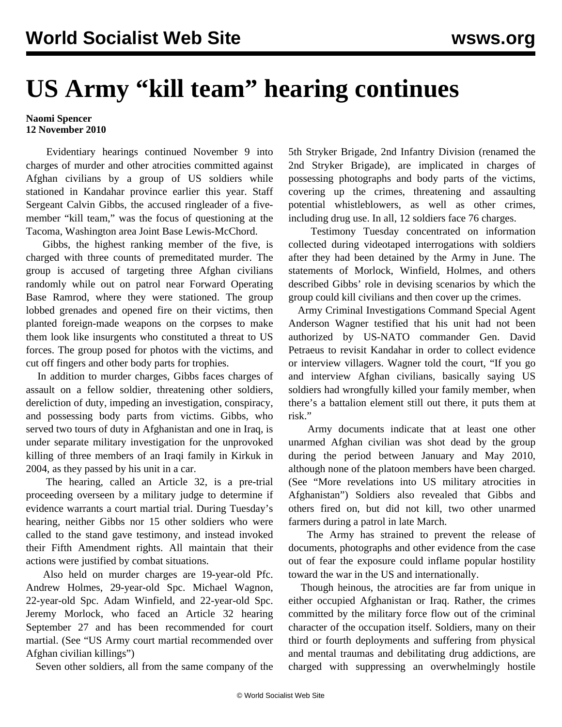## **US Army "kill team" hearing continues**

## **Naomi Spencer 12 November 2010**

 Evidentiary hearings continued November 9 into charges of murder and other atrocities committed against Afghan civilians by a group of US soldiers while stationed in Kandahar province earlier this year. Staff Sergeant Calvin Gibbs, the accused ringleader of a fivemember "kill team," was the focus of questioning at the Tacoma, Washington area Joint Base Lewis-McChord.

 Gibbs, the highest ranking member of the five, is charged with three counts of premeditated murder. The group is accused of targeting three Afghan civilians randomly while out on patrol near Forward Operating Base Ramrod, where they were stationed. The group lobbed grenades and opened fire on their victims, then planted foreign-made weapons on the corpses to make them look like insurgents who constituted a threat to US forces. The group posed for photos with the victims, and cut off fingers and other body parts for trophies.

 In addition to murder charges, Gibbs faces charges of assault on a fellow soldier, threatening other soldiers, dereliction of duty, impeding an investigation, conspiracy, and possessing body parts from victims. Gibbs, who served two tours of duty in Afghanistan and one in Iraq, is under separate military investigation for the unprovoked killing of three members of an Iraqi family in Kirkuk in 2004, as they passed by his unit in a car.

 The hearing, called an Article 32, is a pre-trial proceeding overseen by a military judge to determine if evidence warrants a court martial trial. During Tuesday's hearing, neither Gibbs nor 15 other soldiers who were called to the stand gave testimony, and instead invoked their Fifth Amendment rights. All maintain that their actions were justified by combat situations.

 Also held on murder charges are 19-year-old Pfc. Andrew Holmes, 29-year-old Spc. Michael Wagnon, 22-year-old Spc. Adam Winfield, and 22-year-old Spc. Jeremy Morlock, who faced an Article 32 hearing September 27 and has been recommended for court martial. (See ["US Army court martial recommended over](/en/articles/2010/oct2010/army-o09.shtml) [Afghan civilian killings"](/en/articles/2010/oct2010/army-o09.shtml))

Seven other soldiers, all from the same company of the

5th Stryker Brigade, 2nd Infantry Division (renamed the 2nd Stryker Brigade), are implicated in charges of possessing photographs and body parts of the victims, covering up the crimes, threatening and assaulting potential whistleblowers, as well as other crimes, including drug use. In all, 12 soldiers face 76 charges.

 Testimony Tuesday concentrated on information collected during videotaped interrogations with soldiers after they had been detained by the Army in June. The statements of Morlock, Winfield, Holmes, and others described Gibbs' role in devising scenarios by which the group could kill civilians and then cover up the crimes.

 Army Criminal Investigations Command Special Agent Anderson Wagner testified that his unit had not been authorized by US-NATO commander Gen. David Petraeus to revisit Kandahar in order to collect evidence or interview villagers. Wagner told the court, "If you go and interview Afghan civilians, basically saying US soldiers had wrongfully killed your family member, when there's a battalion element still out there, it puts them at risk."

 Army documents indicate that at least one other unarmed Afghan civilian was shot dead by the group during the period between January and May 2010, although none of the platoon members have been charged. (See "[More revelations into US military atrocities in](/en/articles/2010/oct2010/army-o04.shtml) [Afghanistan"](/en/articles/2010/oct2010/army-o04.shtml)) Soldiers also revealed that Gibbs and others fired on, but did not kill, two other unarmed farmers during a patrol in late March.

 The Army has strained to prevent the release of documents, photographs and other evidence from the case out of fear the exposure could inflame popular hostility toward the war in the US and internationally.

 Though heinous, the atrocities are far from unique in either occupied Afghanistan or Iraq. Rather, the crimes committed by the military force flow out of the criminal character of the occupation itself. Soldiers, many on their third or fourth deployments and suffering from physical and mental traumas and debilitating drug addictions, are charged with suppressing an overwhelmingly hostile